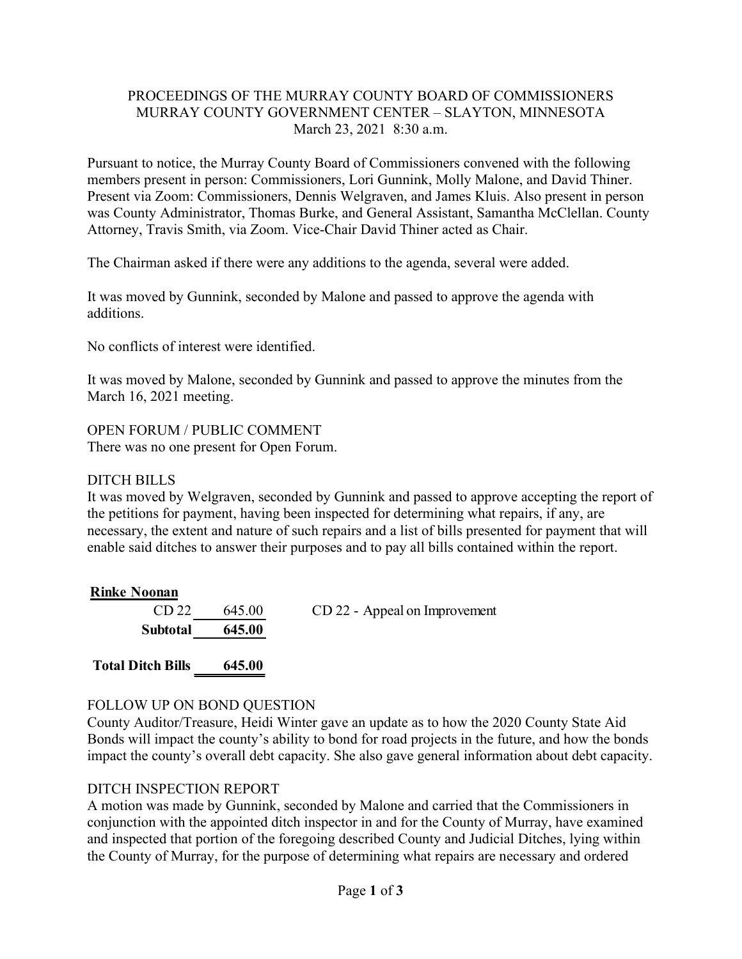### PROCEEDINGS OF THE MURRAY COUNTY BOARD OF COMMISSIONERS MURRAY COUNTY GOVERNMENT CENTER – SLAYTON, MINNESOTA March 23, 2021 8:30 a.m.

Pursuant to notice, the Murray County Board of Commissioners convened with the following members present in person: Commissioners, Lori Gunnink, Molly Malone, and David Thiner. Present via Zoom: Commissioners, Dennis Welgraven, and James Kluis. Also present in person was County Administrator, Thomas Burke, and General Assistant, Samantha McClellan. County Attorney, Travis Smith, via Zoom. Vice-Chair David Thiner acted as Chair.

The Chairman asked if there were any additions to the agenda, several were added.

It was moved by Gunnink, seconded by Malone and passed to approve the agenda with additions.

No conflicts of interest were identified.

It was moved by Malone, seconded by Gunnink and passed to approve the minutes from the March 16, 2021 meeting.

OPEN FORUM / PUBLIC COMMENT There was no one present for Open Forum.

#### DITCH BILLS

It was moved by Welgraven, seconded by Gunnink and passed to approve accepting the report of the petitions for payment, having been inspected for determining what repairs, if any, are necessary, the extent and nature of such repairs and a list of bills presented for payment that will enable said ditches to answer their purposes and to pay all bills contained within the report.

| <b>Rinke Noonan</b>                                                                                                                                                                   |                |                               |
|---------------------------------------------------------------------------------------------------------------------------------------------------------------------------------------|----------------|-------------------------------|
|                                                                                                                                                                                       | $CD 22$ 645.00 | CD 22 - Appeal on Improvement |
| $\mathbf{C}_{\mathbf{u}}$ $\mathbf{b}_{\mathbf{t}}$ $\mathbf{c}_{\mathbf{t}}$ $\mathbf{c}_{\mathbf{t}}$ $\mathbf{c}_{\mathbf{t}}$ $\mathbf{c}_{\mathbf{t}}$ $\mathbf{c}_{\mathbf{t}}$ |                |                               |

**Subtotal 645.00**

**Total Ditch Bills 645.00**

### FOLLOW UP ON BOND QUESTION

County Auditor/Treasure, Heidi Winter gave an update as to how the 2020 County State Aid Bonds will impact the county's ability to bond for road projects in the future, and how the bonds impact the county's overall debt capacity. She also gave general information about debt capacity.

### DITCH INSPECTION REPORT

A motion was made by Gunnink, seconded by Malone and carried that the Commissioners in conjunction with the appointed ditch inspector in and for the County of Murray, have examined and inspected that portion of the foregoing described County and Judicial Ditches, lying within the County of Murray, for the purpose of determining what repairs are necessary and ordered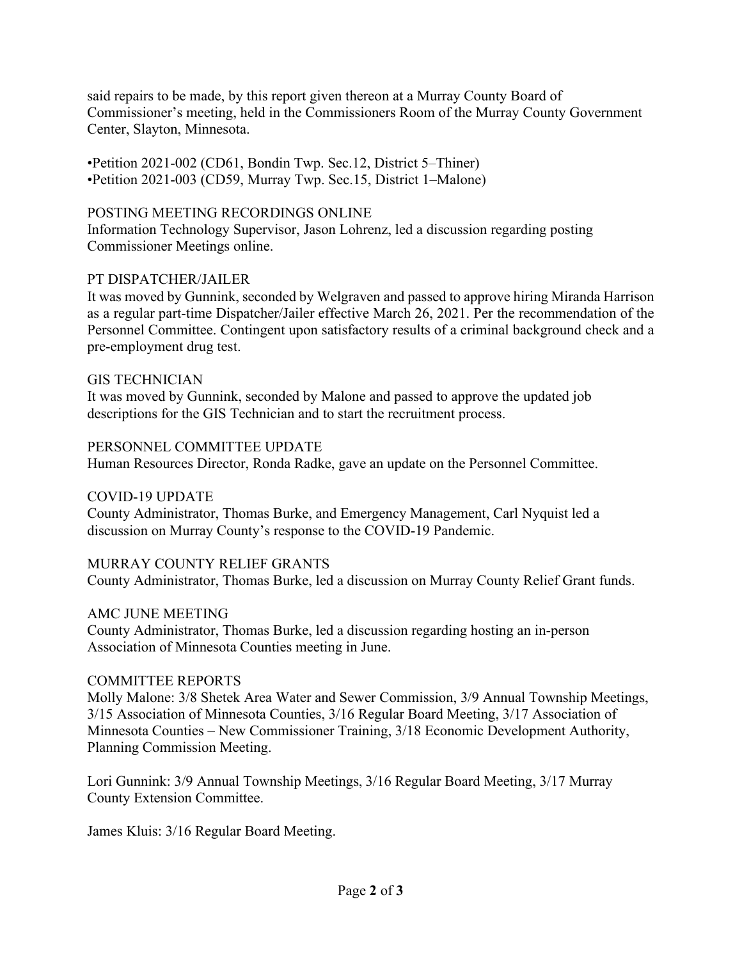said repairs to be made, by this report given thereon at a Murray County Board of Commissioner's meeting, held in the Commissioners Room of the Murray County Government Center, Slayton, Minnesota.

•Petition 2021-002 (CD61, Bondin Twp. Sec.12, District 5–Thiner) •Petition 2021-003 (CD59, Murray Twp. Sec.15, District 1–Malone)

# POSTING MEETING RECORDINGS ONLINE

Information Technology Supervisor, Jason Lohrenz, led a discussion regarding posting Commissioner Meetings online.

# PT DISPATCHER/JAILER

It was moved by Gunnink, seconded by Welgraven and passed to approve hiring Miranda Harrison as a regular part-time Dispatcher/Jailer effective March 26, 2021. Per the recommendation of the Personnel Committee. Contingent upon satisfactory results of a criminal background check and a pre-employment drug test.

### GIS TECHNICIAN

It was moved by Gunnink, seconded by Malone and passed to approve the updated job descriptions for the GIS Technician and to start the recruitment process.

### PERSONNEL COMMITTEE UPDATE

Human Resources Director, Ronda Radke, gave an update on the Personnel Committee.

### COVID-19 UPDATE

County Administrator, Thomas Burke, and Emergency Management, Carl Nyquist led a discussion on Murray County's response to the COVID-19 Pandemic.

### MURRAY COUNTY RELIEF GRANTS

County Administrator, Thomas Burke, led a discussion on Murray County Relief Grant funds.

### AMC JUNE MEETING

County Administrator, Thomas Burke, led a discussion regarding hosting an in-person Association of Minnesota Counties meeting in June.

### COMMITTEE REPORTS

Molly Malone: 3/8 Shetek Area Water and Sewer Commission, 3/9 Annual Township Meetings, 3/15 Association of Minnesota Counties, 3/16 Regular Board Meeting, 3/17 Association of Minnesota Counties – New Commissioner Training, 3/18 Economic Development Authority, Planning Commission Meeting.

Lori Gunnink: 3/9 Annual Township Meetings, 3/16 Regular Board Meeting, 3/17 Murray County Extension Committee.

James Kluis: 3/16 Regular Board Meeting.